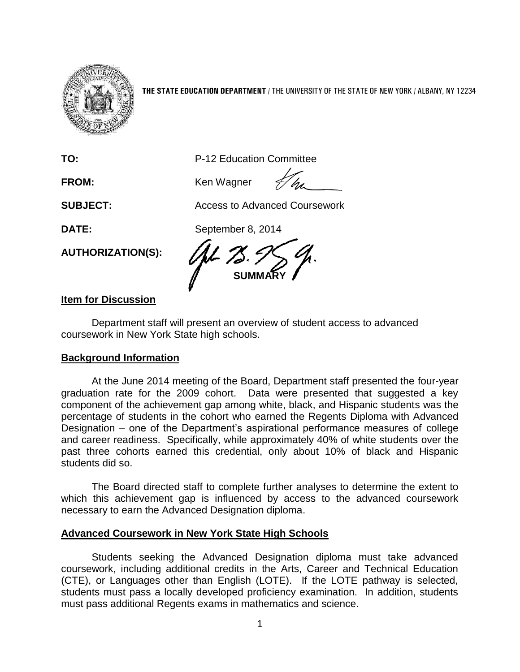

**THE STATE EDUCATION DEPARTMENT** / THE UNIVERSITY OF THE STATE OF NEW YORK / ALBANY, NY 12234

**TO:** P-12 Education Committee

FROM: Ken Wagner

**SUBJECT:** Access to Advanced Coursework

**DATE:** September 8, 2014

**AUTHORIZATION(S):**

**SUMMARY**

## **Item for Discussion**

Department staff will present an overview of student access to advanced coursework in New York State high schools.

## **Background Information**

At the June 2014 meeting of the Board, Department staff presented the four-year graduation rate for the 2009 cohort. Data were presented that suggested a key component of the achievement gap among white, black, and Hispanic students was the percentage of students in the cohort who earned the Regents Diploma with Advanced Designation – one of the Department's aspirational performance measures of college and career readiness. Specifically, while approximately 40% of white students over the past three cohorts earned this credential, only about 10% of black and Hispanic students did so.

The Board directed staff to complete further analyses to determine the extent to which this achievement gap is influenced by access to the advanced coursework necessary to earn the Advanced Designation diploma.

## **Advanced Coursework in New York State High Schools**

Students seeking the Advanced Designation diploma must take advanced coursework, including additional credits in the Arts, Career and Technical Education (CTE), or Languages other than English (LOTE). If the LOTE pathway is selected, students must pass a locally developed proficiency examination. In addition, students must pass additional Regents exams in mathematics and science.